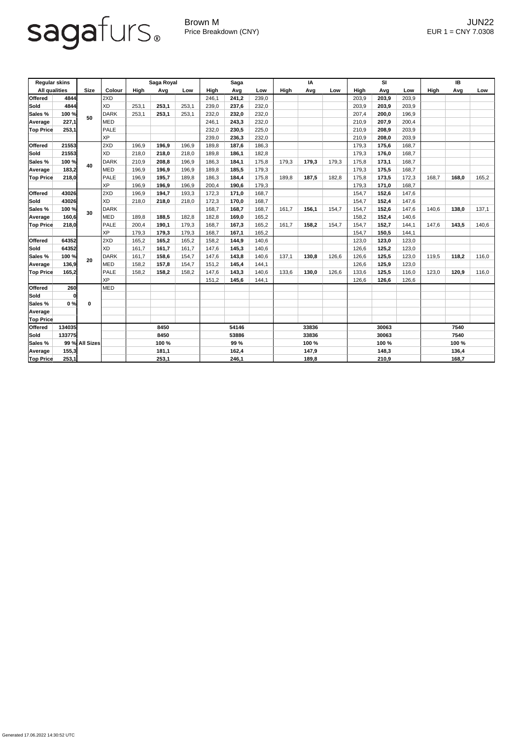## sagafurs.

Generated 17.06.2022 14:30:52 UTC

Brown M JUN22 Price Breakdown (CNY) EUR 1 = CNY 7.0308

| <b>Regular skins</b>     |              |                |             | Saga Royal |       | <b>Saga</b> |             |       | IA    |             |       | SI    |             |       | IB    |             |       |       |
|--------------------------|--------------|----------------|-------------|------------|-------|-------------|-------------|-------|-------|-------------|-------|-------|-------------|-------|-------|-------------|-------|-------|
| <b>All qualities</b>     |              | <b>Size</b>    | Colour      | High       | Avg   | Low         | <b>High</b> | Avg   | Low   | <b>High</b> | Avg   | Low   | <b>High</b> | Avg   | Low   | <b>High</b> | Avg   | Low   |
| <b>Offered</b>           | 4844         | 50             | 2XD         |            |       |             | 246,1       | 241,2 | 239,0 |             |       |       | 203,9       | 203,9 | 203,9 |             |       |       |
| <b>Sold</b>              | 4844         |                | XD          | 253,1      | 253,1 | 253,1       | 239,0       | 237,6 | 232,0 |             |       |       | 203,9       | 203,9 | 203,9 |             |       |       |
| Sales %                  | 100 %        |                | DARK        | 253,1      | 253,1 | 253,1       | 232,0       | 232,0 | 232,0 |             |       |       | 207,4       | 200,0 | 196,9 |             |       |       |
| Average                  | 227,1        |                | <b>MED</b>  |            |       |             | 246,1       | 243,3 | 232,0 |             |       |       | 210,9       | 207,9 | 200,4 |             |       |       |
| <b>Top Price</b>         | 253,1        |                | PALE        |            |       |             | 232,0       | 230,5 | 225,0 |             |       |       | 210,9       | 208,9 | 203,9 |             |       |       |
|                          |              |                | XP          |            |       |             | 239,0       | 236,3 | 232,0 |             |       |       | 210,9       | 208,0 | 203,9 |             |       |       |
| <b>Offered</b>           | 21553        | 40             | 2XD         | 196,9      | 196,9 | 196,9       | 189,8       | 187,6 | 186,3 |             |       |       | 179,3       | 175,6 | 168,7 |             |       |       |
| Sold                     | 21553        |                | XD          | 218,0      | 218,0 | 218,0       | 189,8       | 186,1 | 182,8 |             |       |       | 179,3       | 176,0 | 168,7 |             |       |       |
| <b>Sales</b> %           | 100 %        |                | DARK        | 210,9      | 208,8 | 196,9       | 186,3       | 184,1 | 175,8 | 179,3       | 179,3 | 179,3 | 175,8       | 173,1 | 168,7 |             |       |       |
| Average                  | 183,2        |                | <b>MED</b>  | 196,9      | 196,9 | 196,9       | 189,8       | 185,5 | 179,3 |             |       |       | 179,3       | 175,5 | 168,7 |             |       |       |
| <b>Top Price</b>         | 218,0        |                | PALE        | 196,9      | 195,7 | 189,8       | 186,3       | 184,4 | 175,8 | 189,8       | 187,5 | 182,8 | 175,8       | 173,5 | 172,3 | 168,7       | 168,0 | 165,2 |
|                          |              |                | XP          | 196,9      | 196,9 | 196,9       | 200,4       | 190,6 | 179,3 |             |       |       | 179,3       | 171,0 | 168,7 |             |       |       |
| <b>Offered</b>           | 43026        |                | 2XD         | 196,9      | 194,7 | 193,3       | 172,3       | 171,0 | 168,7 |             |       |       | 154,7       | 152,6 | 147,6 |             |       |       |
| Sold                     | 43026        |                | XD          | 218,0      | 218,0 | 218,0       | 172,3       | 170,0 | 168,7 |             |       |       | 154,7       | 152,4 | 147,6 |             |       |       |
| <b>Sales</b> %           | 100 %        | 30             | DARK        |            |       |             | 168,7       | 168,7 | 168,7 | 161,7       | 156,1 | 154,7 | 154,7       | 152,6 | 147,6 | 140,6       | 138,0 | 137,1 |
| Average                  | 160,6        |                | <b>MED</b>  | 189,8      | 188,5 | 182,8       | 182,8       | 169,0 | 165,2 |             |       |       | 158,2       | 152,4 | 140,6 |             |       |       |
| <b>Top Price</b>         | 218,0        |                | PALE        | 200,4      | 190,1 | 179,3       | 168,7       | 167,3 | 165,2 | 161,7       | 158,2 | 154,7 | 154,7       | 152,7 | 144,1 | 147,6       | 143,5 | 140,6 |
|                          |              |                | XP          | 179,3      | 179,3 | 179,3       | 168,7       | 167,1 | 165,2 |             |       |       | 154,7       | 150,5 | 144,1 |             |       |       |
| <b>Offered</b>           | 64352        | 20             | 2XD         | 165,2      | 165,2 | 165,2       | 158,2       | 144,9 | 140,6 |             |       |       | 123,0       | 123,0 | 123,0 |             |       |       |
| Sold                     | 64352        |                | XD          | 161,7      | 161,7 | 161,7       | 147,6       | 145,3 | 140,6 |             |       |       | 126,6       | 125,2 | 123,0 |             |       |       |
| Sales %                  | 100 %        |                | DARK        | 161,7      | 158,6 | 154,7       | 147,6       | 143,8 | 140,6 | 137,1       | 130,8 | 126,6 | 126,6       | 125,5 | 123,0 | 119,5       | 118,2 | 116,0 |
| Average                  | 136,9        |                | <b>MED</b>  | 158,2      | 157,8 | 154,7       | 151,2       | 145,4 | 144,1 |             |       |       | 126,6       | 125,9 | 123,0 |             |       |       |
| <b>Top Price</b>         | 165,2        |                | <b>PALE</b> | 158,2      | 158,2 | 158,2       | 147,6       | 143,3 | 140,6 | 133,6       | 130,0 | 126,6 | 133,6       | 125,5 | 116,0 | 123,0       | 120,9 | 116,0 |
|                          |              |                | <b>XP</b>   |            |       |             | 151,2       | 145,6 | 144,1 |             |       |       | 126,6       | 126,6 | 126,6 |             |       |       |
| <b>Offered</b>           | 260          |                | MED         |            |       |             |             |       |       |             |       |       |             |       |       |             |       |       |
| Sold                     | $\mathbf{0}$ |                |             |            |       |             |             |       |       |             |       |       |             |       |       |             |       |       |
| Sales %                  | 0%           | $\mathbf 0$    |             |            |       |             |             |       |       |             |       |       |             |       |       |             |       |       |
| Average                  |              |                |             |            |       |             |             |       |       |             |       |       |             |       |       |             |       |       |
| <b>Top Price</b>         |              |                |             |            |       |             |             |       |       |             |       |       |             |       |       |             |       |       |
| <b>Offered</b><br>134035 |              |                | 8450        |            |       | 54146       |             |       | 33836 |             |       | 30063 |             |       | 7540  |             |       |       |
| <b>Sold</b>              | 133775       |                |             | 8450       |       |             | 53886       |       |       | 33836       |       |       | 30063       |       |       | 7540        |       |       |
| Sales %                  |              | 99 % All Sizes |             | 100 %      |       |             | 99 %        |       |       | 100 %       |       |       | 100 %       |       |       | 100 %       |       |       |
| <b>Average</b>           | 155,3        |                |             | 181,1      |       |             | 162,4       |       |       | 147,9       |       |       | 148,3       |       |       | 136,4       |       |       |
| <b>Top Price</b>         | 253,1        |                |             | 253,1      |       |             | 246,1       |       |       | 189,8       |       |       | 210,9       |       |       | 168,7       |       |       |